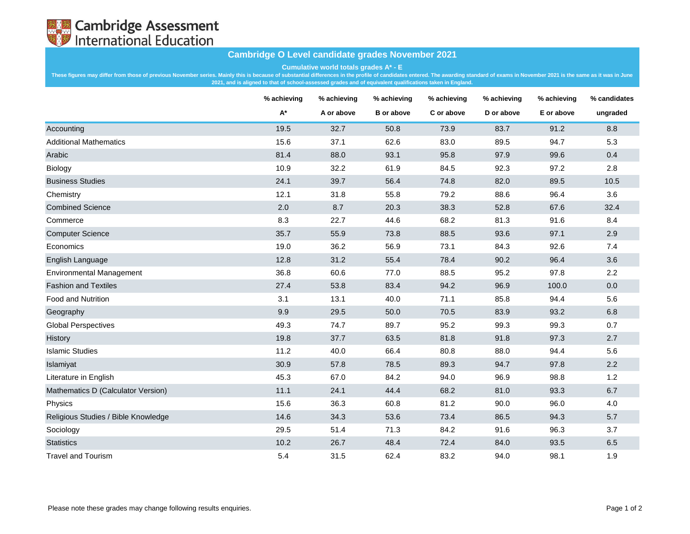

## **Cambridge O Level candidate grades November 2021**

**Cumulative world totals grades A\* - E**

These figures may differ from those of previous November series. Mainly this is because of substantial differences in the profile of candidates entered. The awarding standard of exams in November 2021 is the same as it was **2021, and is aligned to that of school-assessed grades and of equivalent qualifications taken in England.**

|                                     | % achieving | % achieving | % achieving       | % achieving | % achieving | % achieving | % candidates |
|-------------------------------------|-------------|-------------|-------------------|-------------|-------------|-------------|--------------|
|                                     | $A^*$       | A or above  | <b>B</b> or above | C or above  | D or above  | E or above  | ungraded     |
| Accounting                          | 19.5        | 32.7        | 50.8              | 73.9        | 83.7        | 91.2        | 8.8          |
| <b>Additional Mathematics</b>       | 15.6        | 37.1        | 62.6              | 83.0        | 89.5        | 94.7        | 5.3          |
| Arabic                              | 81.4        | 88.0        | 93.1              | 95.8        | 97.9        | 99.6        | 0.4          |
| Biology                             | 10.9        | 32.2        | 61.9              | 84.5        | 92.3        | 97.2        | 2.8          |
| <b>Business Studies</b>             | 24.1        | 39.7        | 56.4              | 74.8        | 82.0        | 89.5        | 10.5         |
| Chemistry                           | 12.1        | 31.8        | 55.8              | 79.2        | 88.6        | 96.4        | 3.6          |
| <b>Combined Science</b>             | 2.0         | 8.7         | 20.3              | 38.3        | 52.8        | 67.6        | 32.4         |
| Commerce                            | 8.3         | 22.7        | 44.6              | 68.2        | 81.3        | 91.6        | 8.4          |
| <b>Computer Science</b>             | 35.7        | 55.9        | 73.8              | 88.5        | 93.6        | 97.1        | 2.9          |
| Economics                           | 19.0        | 36.2        | 56.9              | 73.1        | 84.3        | 92.6        | 7.4          |
| English Language                    | 12.8        | 31.2        | 55.4              | 78.4        | 90.2        | 96.4        | 3.6          |
| <b>Environmental Management</b>     | 36.8        | 60.6        | 77.0              | 88.5        | 95.2        | 97.8        | 2.2          |
| <b>Fashion and Textiles</b>         | 27.4        | 53.8        | 83.4              | 94.2        | 96.9        | 100.0       | 0.0          |
| <b>Food and Nutrition</b>           | 3.1         | 13.1        | 40.0              | 71.1        | 85.8        | 94.4        | 5.6          |
| Geography                           | 9.9         | 29.5        | 50.0              | 70.5        | 83.9        | 93.2        | 6.8          |
| <b>Global Perspectives</b>          | 49.3        | 74.7        | 89.7              | 95.2        | 99.3        | 99.3        | 0.7          |
| History                             | 19.8        | 37.7        | 63.5              | 81.8        | 91.8        | 97.3        | 2.7          |
| <b>Islamic Studies</b>              | 11.2        | 40.0        | 66.4              | 80.8        | 88.0        | 94.4        | 5.6          |
| Islamiyat                           | 30.9        | 57.8        | 78.5              | 89.3        | 94.7        | 97.8        | 2.2          |
| Literature in English               | 45.3        | 67.0        | 84.2              | 94.0        | 96.9        | 98.8        | 1.2          |
| Mathematics D (Calculator Version)  | 11.1        | 24.1        | 44.4              | 68.2        | 81.0        | 93.3        | 6.7          |
| Physics                             | 15.6        | 36.3        | 60.8              | 81.2        | 90.0        | 96.0        | 4.0          |
| Religious Studies / Bible Knowledge | 14.6        | 34.3        | 53.6              | 73.4        | 86.5        | 94.3        | 5.7          |
| Sociology                           | 29.5        | 51.4        | 71.3              | 84.2        | 91.6        | 96.3        | 3.7          |
| <b>Statistics</b>                   | 10.2        | 26.7        | 48.4              | 72.4        | 84.0        | 93.5        | 6.5          |
| <b>Travel and Tourism</b>           | 5.4         | 31.5        | 62.4              | 83.2        | 94.0        | 98.1        | 1.9          |